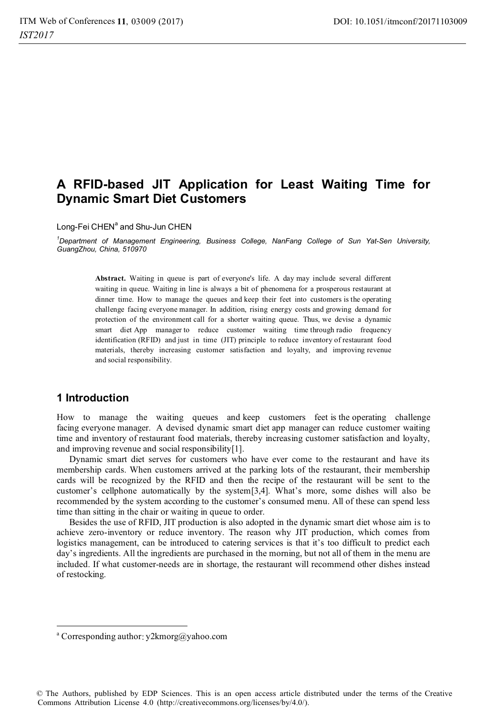# **A RFID-based JIT Application for Least Waiting Time for Dynamic Smart Diet Customers**

Long-Fei CHEN<sup>a</sup> and Shu-Jun CHEN

<sup>1</sup>Department of Management Engineering, Business College, NanFang College of Sun Yat-Sen University, *Department of Management Engineering, Business College, NanFang College of Sun Yat-Sen University, GuangZhou, China, 510970* 

> **Abstract.** Waiting in queue is part of everyone's life. A day may include several different waiting in queue. Waiting in line is always a bit of phenomena for a prosperous restaurant at dinner time. How to manage the queues and keep their feet into customers is the operating challenge facing everyone manager. In addition, rising energy costs and growing demand for protection of the environment call for a shorter waiting queue. Thus, we devise a dynamic smart diet App manager to reduce customer waiting time through radio frequency identification (RFID) and just in time (JIT) principle to reduce inventory of restaurant food materials, thereby increasing customer satisfaction and loyalty, and improving revenue and social responsibility.

### **1 Introduction**

 $\overline{a}$ 

How to manage the waiting queues and keep customers feet is the operating challenge facing everyone manager. A devised dynamic smart diet app manager can reduce customer waiting time and inventory of restaurant food materials, thereby increasing customer satisfaction and loyalty, and improving revenue and social responsibility[1].

Dynamic smart diet serves for customers who have ever come to the restaurant and have its membership cards. When customers arrived at the parking lots of the restaurant, their membership cards will be recognized by the RFID and then the recipe of the restaurant will be sent to the customer's cellphone automatically by the system[3,4]. What's more, some dishes will also be recommended by the system according to the customer's consumed menu. All of these can spend less time than sitting in the chair or waiting in queue to order.

Besides the use of RFID, JIT production is also adopted in the dynamic smart diet whose aim is to achieve zero-inventory or reduce inventory. The reason why JIT production, which comes from logistics management, can be introduced to catering services is that it's too difficult to predict each day's ingredients. All the ingredients are purchased in the morning, but not all of them in the menu are included. If what customer-needs are in shortage, the restaurant will recommend other dishes instead of restocking.

<sup>&</sup>lt;sup>a</sup> Corresponding author: y2kmorg@yahoo.com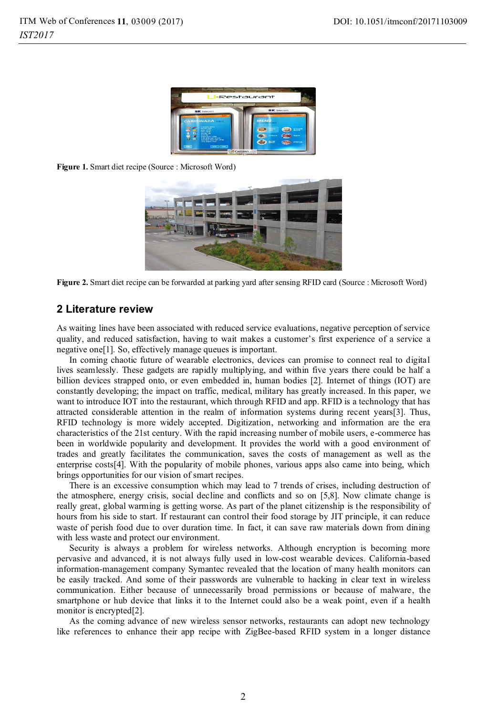

**Figure 1.** Smart diet recipe (Source : Microsoft Word)



**Figure 2.** Smart diet recipe can be forwarded at parking yard after sensing RFID card (Source : Microsoft Word)

### **2 Literature review**

As waiting lines have been associated with reduced service evaluations, negative perception of service quality, and reduced satisfaction, having to wait makes a customer's first experience of a service a negative one[1]. So, effectively manage queues is important.

In coming chaotic future of wearable electronics, devices can promise to connect real to digital lives seamlessly. These gadgets are rapidly multiplying, and within five years there could be half a billion devices strapped onto, or even embedded in, human bodies [2]. Internet of things (IOT) are constantly developing; the impact on traffic, medical, military has greatly increased. In this paper, we want to introduce IOT into the restaurant, which through RFID and app. RFID is a technology that has attracted considerable attention in the realm of information systems during recent years[3]. Thus, RFID technology is more widely accepted. Digitization, networking and information are the era characteristics of the 21st century. With the rapid increasing number of mobile users, e-commerce has been in worldwide popularity and development. It provides the world with a good environment of trades and greatly facilitates the communication, saves the costs of management as well as the enterprise costs[4]. With the popularity of mobile phones, various apps also came into being, which brings opportunities for our vision of smart recipes.

There is an excessive consumption which may lead to 7 trends of crises, including destruction of the atmosphere, energy crisis, social decline and conflicts and so on [5,8]. Now climate change is really great, global warming is getting worse. As part of the planet citizenship is the responsibility of hours from his side to start. If restaurant can control their food storage by JIT principle, it can reduce waste of perish food due to over duration time. In fact, it can save raw materials down from dining with less waste and protect our environment.

Security is always a problem for wireless networks. Although encryption is becoming more pervasive and advanced, it is not always fully used in low-cost wearable devices. California-based information-management company Symantec revealed that the location of many health monitors can be easily tracked. And some of their passwords are vulnerable to hacking in clear text in wireless communication. Either because of unnecessarily broad permissions or because of malware, the smartphone or hub device that links it to the Internet could also be a weak point, even if a health monitor is encrypted[2].

As the coming advance of new wireless sensor networks, restaurants can adopt new technology like references to enhance their app recipe with ZigBee-based RFID system in a longer distance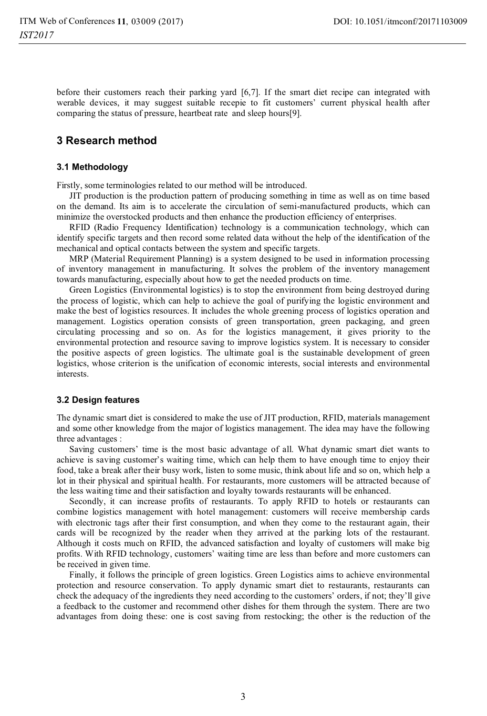before their customers reach their parking yard [6,7]. If the smart diet recipe can integrated with werable devices, it may suggest suitable recepie to fit customers' current physical health after comparing the status of pressure, heartbeat rate and sleep hours[9].

## **3 Research method**

#### **3.1 Methodology**

Firstly, some terminologies related to our method will be introduced.

JIT production is the production pattern of producing something in time as well as on time based on the demand. Its aim is to accelerate the circulation of semi-manufactured products, which can minimize the overstocked products and then enhance the production efficiency of enterprises.

RFID (Radio Frequency Identification) technology is a communication technology, which can identify specific targets and then record some related data without the help of the identification of the mechanical and optical contacts between the system and specific targets.

MRP (Material Requirement Planning) is a system designed to be used in information processing of inventory management in manufacturing. It solves the problem of the inventory management towards manufacturing, especially about how to get the needed products on time.

Green Logistics (Environmental logistics) is to stop the environment from being destroyed during the process of logistic, which can help to achieve the goal of purifying the logistic environment and make the best of logistics resources. It includes the whole greening process of logistics operation and management. Logistics operation consists of green transportation, green packaging, and green circulating processing and so on. As for the logistics management, it gives priority to the environmental protection and resource saving to improve logistics system. It is necessary to consider the positive aspects of green logistics. The ultimate goal is the sustainable development of green logistics, whose criterion is the unification of economic interests, social interests and environmental interests.

#### **3.2 Design features**

The dynamic smart diet is considered to make the use of JIT production, RFID, materials management and some other knowledge from the major of logistics management. The idea may have the following three advantages :

Saving customers' time is the most basic advantage of all. What dynamic smart diet wants to achieve is saving customer's waiting time, which can help them to have enough time to enjoy their food, take a break after their busy work, listen to some music, think about life and so on, which help a lot in their physical and spiritual health. For restaurants, more customers will be attracted because of the less waiting time and their satisfaction and loyalty towards restaurants will be enhanced.

Secondly, it can increase profits of restaurants. To apply RFID to hotels or restaurants can combine logistics management with hotel management: customers will receive membership cards with electronic tags after their first consumption, and when they come to the restaurant again, their cards will be recognized by the reader when they arrived at the parking lots of the restaurant. Although it costs much on RFID, the advanced satisfaction and loyalty of customers will make big profits. With RFID technology, customers' waiting time are less than before and more customers can be received in given time.

Finally, it follows the principle of green logistics. Green Logistics aims to achieve environmental protection and resource conservation. To apply dynamic smart diet to restaurants, restaurants can check the adequacy of the ingredients they need according to the customers' orders, if not; they'll give a feedback to the customer and recommend other dishes for them through the system. There are two advantages from doing these: one is cost saving from restocking; the other is the reduction of the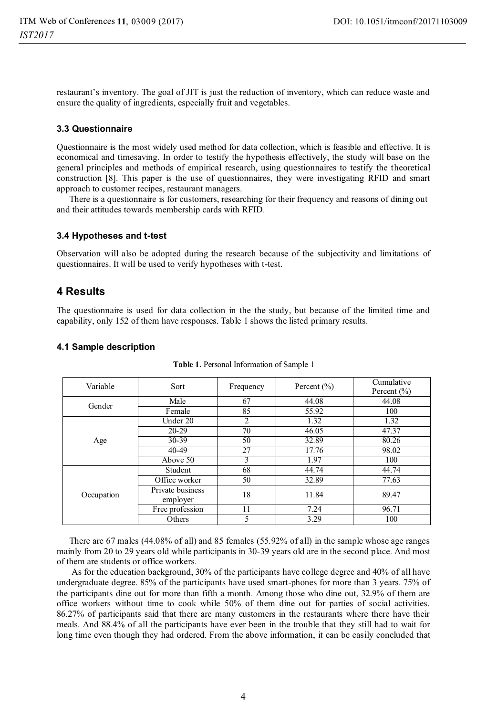restaurant's inventory. The goal of JIT is just the reduction of inventory, which can reduce waste and ensure the quality of ingredients, especially fruit and vegetables.

#### **3.3 Questionnaire**

Questionnaire is the most widely used method for data collection, which is feasible and effective. It is economical and timesaving. In order to testify the hypothesis effectively, the study will base on the general principles and methods of empirical research, using questionnaires to testify the theoretical construction [8]. This paper is the use of questionnaires, they were investigating RFID and smart approach to customer recipes, restaurant managers.

There is a questionnaire is for customers, researching for their frequency and reasons of dining out and their attitudes towards membership cards with RFID.

### **3.4 Hypotheses and t-test**

Observation will also be adopted during the research because of the subjectivity and limitations of questionnaires. It will be used to verify hypotheses with t-test.

### **4 Results**

The questionnaire is used for data collection in the the study, but because of the limited time and capability, only 152 of them have responses. Table 1 shows the listed primary results.

### **4.1 Sample description**

| Variable   | Sort                         | Frequency      | Percent $(\% )$ | Cumulative<br>Percent $(\% )$ |
|------------|------------------------------|----------------|-----------------|-------------------------------|
| Gender     | Male                         | 67             | 44.08           | 44.08                         |
|            | Female                       | 85             | 55.92           | 100                           |
| Age        | Under 20                     | $\overline{c}$ | 1.32            | 1.32                          |
|            | $20 - 29$                    | 70             | 46.05           | 47.37                         |
|            | $30 - 39$                    | 50             | 32.89           | 80.26                         |
|            | $40 - 49$                    | 27             | 17.76           | 98.02                         |
|            | Above 50                     | 3              | 1.97            | 100                           |
| Occupation | Student                      | 68             | 44.74           | 44.74                         |
|            | Office worker                | 50             | 32.89           | 77.63                         |
|            | Private business<br>employer | 18             | 11.84           | 89.47                         |
|            | Free profession              | 11             | 7.24            | 96.71                         |
|            | Others                       | 5              | 3.29            | 100                           |

**Table 1.** Personal Information of Sample 1

There are 67 males (44.08% of all) and 85 females (55.92% of all) in the sample whose age ranges mainly from 20 to 29 years old while participants in 30-39 years old are in the second place. And most of them are students or office workers.

 As for the education background, 30% of the participants have college degree and 40% of all have undergraduate degree. 85% of the participants have used smart-phones for more than 3 years. 75% of the participants dine out for more than fifth a month. Among those who dine out, 32.9% of them are office workers without time to cook while 50% of them dine out for parties of social activities. 86.27% of participants said that there are many customers in the restaurants where there have their meals. And 88.4% of all the participants have ever been in the trouble that they still had to wait for long time even though they had ordered. From the above information, it can be easily concluded that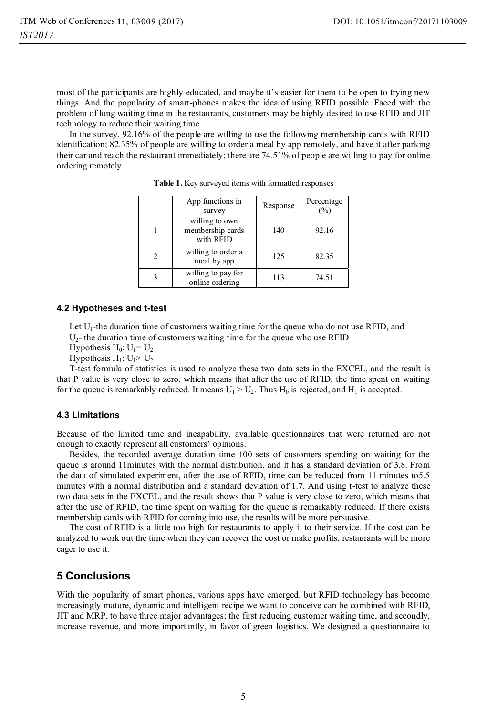most of the participants are highly educated, and maybe it's easier for them to be open to trying new things. And the popularity of smart-phones makes the idea of using RFID possible. Faced with the problem of long waiting time in the restaurants, customers may be highly desired to use RFID and JIT technology to reduce their waiting time.

In the survey, 92.16% of the people are willing to use the following membership cards with RFID identification; 82.35% of people are willing to order a meal by app remotely, and have it after parking their car and reach the restaurant immediately; there are 74.51% of people are willing to pay for online ordering remotely.

|                | App functions in<br>survey                      | Response | Percentage<br>(%) |
|----------------|-------------------------------------------------|----------|-------------------|
|                | willing to own<br>membership cards<br>with RFID | 140      | 92.16             |
| $\mathfrak{D}$ | willing to order a<br>meal by app               | 125      | 82.35             |
|                | willing to pay for<br>online ordering           | 113      | 74.51             |

**Table 1.** Key surveyed items with formatted responses

#### **4.2 Hypotheses and t-test**

Let  $U_1$ -the duration time of customers waiting time for the queue who do not use RFID, and

 $U_2$ - the duration time of customers waiting time for the queue who use RFID

Hypothesis  $H_0: U_1 = U_2$ 

Hypothesis  $H_1: U_1 > U_2$ 

T-test formula of statistics is used to analyze these two data sets in the EXCEL, and the result is that P value is very close to zero, which means that after the use of RFID, the time spent on waiting for the queue is remarkably reduced. It means  $U_1 > U_2$ . Thus  $H_0$  is rejected, and  $H_1$  is accepted.

#### **4.3 Limitations**

Because of the limited time and incapability, available questionnaires that were returned are not enough to exactly represent all customers' opinions.

Besides, the recorded average duration time 100 sets of customers spending on waiting for the queue is around 11minutes with the normal distribution, and it has a standard deviation of 3.8. From the data of simulated experiment, after the use of RFID, time can be reduced from 11 minutes to5.5 minutes with a normal distribution and a standard deviation of 1.7. And using t-test to analyze these two data sets in the EXCEL, and the result shows that P value is very close to zero, which means that after the use of RFID, the time spent on waiting for the queue is remarkably reduced. If there exists membership cards with RFID for coming into use, the results will be more persuasive.

The cost of RFID is a little too high for restaurants to apply it to their service. If the cost can be analyzed to work out the time when they can recover the cost or make profits, restaurants will be more eager to use it.

### **5 Conclusions**

With the popularity of smart phones, various apps have emerged, but RFID technology has become increasingly mature, dynamic and intelligent recipe we want to conceive can be combined with RFID, JIT and MRP, to have three major advantages: the first reducing customer waiting time, and secondly, increase revenue, and more importantly, in favor of green logistics. We designed a questionnaire to